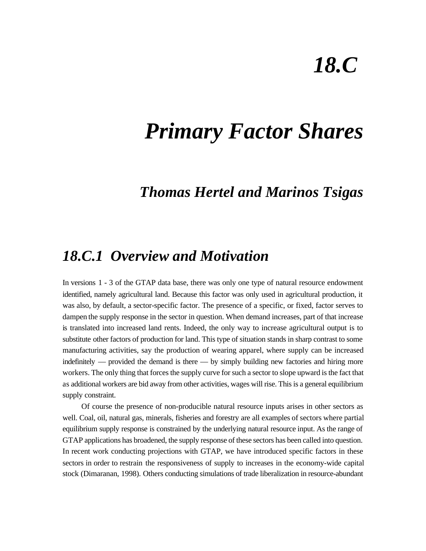# *18.C*

## *Primary Factor Shares*

### *Thomas Hertel and Marinos Tsigas*

### *18.C.1 Overview and Motivation*

In versions 1 - 3 of the GTAP data base, there was only one type of natural resource endowment identified, namely agricultural land. Because this factor was only used in agricultural production, it was also, by default, a sector-specific factor. The presence of a specific, or fixed, factor serves to dampen the supply response in the sector in question. When demand increases, part of that increase is translated into increased land rents. Indeed, the only way to increase agricultural output is to substitute other factors of production for land. This type of situation stands in sharp contrast to some manufacturing activities, say the production of wearing apparel, where supply can be increased indefinitely — provided the demand is there — by simply building new factories and hiring more workers. The only thing that forces the supply curve for such a sector to slope upward is the fact that as additional workers are bid away from other activities, wages will rise. This is a general equilibrium supply constraint.

Of course the presence of non-producible natural resource inputs arises in other sectors as well. Coal, oil, natural gas, minerals, fisheries and forestry are all examples of sectors where partial equilibrium supply response is constrained by the underlying natural resource input. As the range of GTAP applications has broadened, the supply response of these sectors has been called into question. In recent work conducting projections with GTAP, we have introduced specific factors in these sectors in order to restrain the responsiveness of supply to increases in the economy-wide capital stock (Dimaranan, 1998). Others conducting simulations of trade liberalization in resource-abundant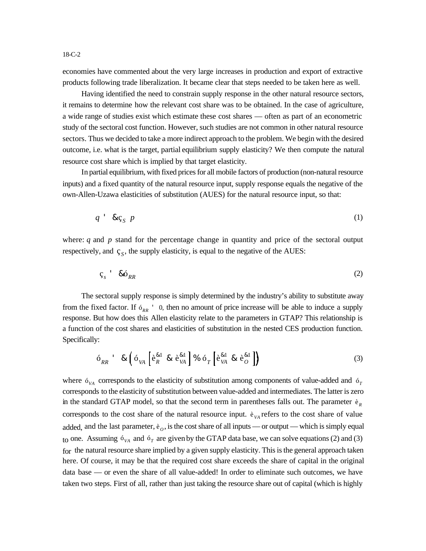economies have commented about the very large increases in production and export of extractive products following trade liberalization. It became clear that steps needed to be taken here as well.

Having identified the need to constrain supply response in the other natural resource sectors, it remains to determine how the relevant cost share was to be obtained. In the case of agriculture, a wide range of studies exist which estimate these cost shares — often as part of an econometric study of the sectoral cost function. However, such studies are not common in other natural resource sectors. Thus we decided to take a more indirect approach to the problem. We begin with the desired outcome, i.e. what is the target, partial equilibrium supply elasticity? We then compute the natural resource cost share which is implied by that target elasticity.

In partial equilibrium, with fixed prices for all mobile factors of production (non-natural resource inputs) and a fixed quantity of the natural resource input, supply response equals the negative of the own-Allen-Uzawa elasticities of substitution (AUES) for the natural resource input, so that:

$$
q \quad \& \zeta_S \quad p \tag{1}
$$

where:  $q$  and  $p$  stand for the percentage change in quantity and price of the sectoral output respectively, and  $\varsigma_{S}$ , the supply elasticity, is equal to the negative of the AUES:

$$
\varsigma_s \qquad \& \delta_{RR} \tag{2}
$$

The sectoral supply response is simply determined by the industry's ability to substitute away from the fixed factor. If  $\delta_{RR}$  ' 0, then no amount of price increase will be able to induce a supply response. But how does this Allen elasticity relate to the parameters in GTAP? This relationship is a function of the cost shares and elasticities of substitution in the nested CES production function. Specifically:

$$
\delta_{RR} \qquad \& \left( \delta_{VA} \left[ \hat{e}_{R}^{\&1} \& \hat{e}_{VA}^{\&1} \right] \% \delta_{T} \left[ \hat{e}_{VA}^{\&1} \& \hat{e}_{O}^{\&1} \right] \right) \tag{3}
$$

where  $\delta_{VA}$  corresponds to the elasticity of substitution among components of value-added and  $\delta_T$ corresponds to the elasticity of substitution between value-added and intermediates. The latter is zero in the standard GTAP model, so that the second term in parentheses falls out. The parameter  $\hat{e}_R$ corresponds to the cost share of the natural resource input.  $e_{VA}$  refers to the cost share of value added, and the last parameter,  $e_o$ , is the cost share of all inputs — or output — which is simply equal to one. Assuming  $6_{VA}$  and  $6_T$  are given by the GTAP data base, we can solve equations (2) and (3) for the natural resource share implied by a given supply elasticity. This is the general approach taken here. Of course, it may be that the required cost share exceeds the share of capital in the original data base — or even the share of all value-added! In order to eliminate such outcomes, we have taken two steps. First of all, rather than just taking the resource share out of capital (which is highly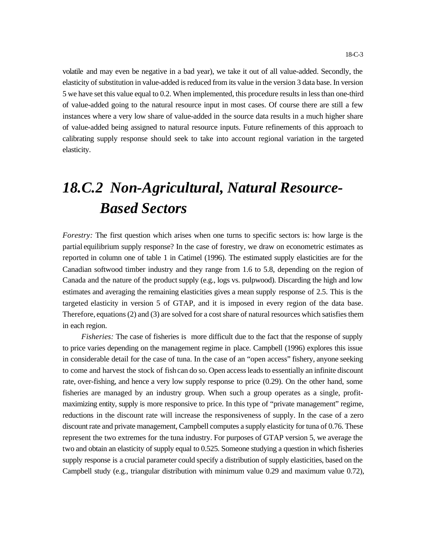volatile and may even be negative in a bad year), we take it out of all value-added. Secondly, the elasticity of substitution in value-added is reduced from its value in the version 3 data base. In version 5 we have set this value equal to 0.2. When implemented, this procedure results in less than one-third of value-added going to the natural resource input in most cases. Of course there are still a few instances where a very low share of value-added in the source data results in a much higher share of value-added being assigned to natural resource inputs. Future refinements of this approach to calibrating supply response should seek to take into account regional variation in the targeted elasticity.

## *18.C.2 Non-Agricultural, Natural Resource-Based Sectors*

*Forestry:* The first question which arises when one turns to specific sectors is: how large is the partial equilibrium supply response? In the case of forestry, we draw on econometric estimates as reported in column one of table 1 in Catimel (1996). The estimated supply elasticities are for the Canadian softwood timber industry and they range from 1.6 to 5.8, depending on the region of Canada and the nature of the product supply (e.g., logs vs. pulpwood). Discarding the high and low estimates and averaging the remaining elasticities gives a mean supply response of 2.5. This is the targeted elasticity in version 5 of GTAP, and it is imposed in every region of the data base. Therefore, equations (2) and (3) are solved for a cost share of natural resources which satisfies them in each region.

*Fisheries:* The case of fisheries is more difficult due to the fact that the response of supply to price varies depending on the management regime in place. Campbell (1996) explores this issue in considerable detail for the case of tuna. In the case of an "open access" fishery, anyone seeking to come and harvest the stock of fish can do so. Open access leads to essentially an infinite discount rate, over-fishing, and hence a very low supply response to price (0.29). On the other hand, some fisheries are managed by an industry group. When such a group operates as a single, profitmaximizing entity, supply is more responsive to price. In this type of "private management" regime, reductions in the discount rate will increase the responsiveness of supply. In the case of a zero discount rate and private management, Campbell computes a supply elasticity for tuna of 0.76. These represent the two extremes for the tuna industry. For purposes of GTAP version 5, we average the two and obtain an elasticity of supply equal to 0.525. Someone studying a question in which fisheries supply response is a crucial parameter could specify a distribution of supply elasticities, based on the Campbell study (e.g., triangular distribution with minimum value 0.29 and maximum value 0.72),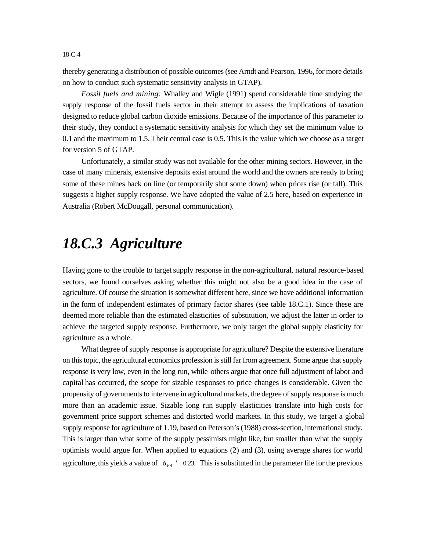thereby generating a distribution of possible outcomes (see Arndt and Pearson, 1996, for more details on how to conduct such systematic sensitivity analysis in GTAP).

*Fossil fuels and mining:* Whalley and Wigle (1991) spend considerable time studying the supply response of the fossil fuels sector in their attempt to assess the implications of taxation designed to reduce global carbon dioxide emissions. Because of the importance of this parameter to their study, they conduct a systematic sensitivity analysis for which they set the minimum value to 0.1 and the maximum to 1.5. Their central case is 0.5. This is the value which we choose as a target for version 5 of GTAP.

Unfortunately, a similar study was not available for the other mining sectors. However, in the case of many minerals, extensive deposits exist around the world and the owners are ready to bring some of these mines back on line (or temporarily shut some down) when prices rise (or fall). This suggests a higher supply response. We have adopted the value of 2.5 here, based on experience in Australia (Robert McDougall, personal communication).

### *18.C.3 Agriculture*

Having gone to the trouble to target supply response in the non-agricultural, natural resource-based sectors, we found ourselves asking whether this might not also be a good idea in the case of agriculture. Of course the situation is somewhat different here, since we have additional information in the form of independent estimates of primary factor shares (see table 18.C.1). Since these are deemed more reliable than the estimated elasticities of substitution, we adjust the latter in order to achieve the targeted supply response. Furthermore, we only target the global supply elasticity for agriculture as a whole.

What degree of supply response is appropriate for agriculture? Despite the extensive literature on this topic, the agricultural economics profession is still far from agreement. Some argue that supply response is very low, even in the long run, while others argue that once full adjustment of labor and capital has occurred, the scope for sizable responses to price changes is considerable. Given the propensity of governments to intervene in agricultural markets, the degree of supply response is much more than an academic issue. Sizable long run supply elasticities translate into high costs for government price support schemes and distorted world markets. In this study, we target a global supply response for agriculture of 1.19, based on Peterson's (1988) cross-section, international study. This is larger than what some of the supply pessimists might like, but smaller than what the supply optimists would argue for. When applied to equations (2) and (3), using average shares for world agriculture, this yields a value of  $\sigma_{VA}$   $\dot{\sigma}_{OA}$   $\sigma_{O.23}$ . This is substituted in the parameter file for the previous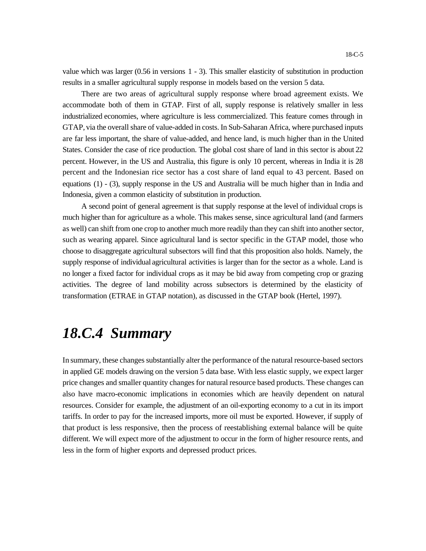value which was larger (0.56 in versions 1 - 3). This smaller elasticity of substitution in production results in a smaller agricultural supply response in models based on the version 5 data.

There are two areas of agricultural supply response where broad agreement exists. We accommodate both of them in GTAP. First of all, supply response is relatively smaller in less industrialized economies, where agriculture is less commercialized. This feature comes through in GTAP, via the overall share of value-added in costs. In Sub-Saharan Africa, where purchased inputs are far less important, the share of value-added, and hence land, is much higher than in the United States. Consider the case of rice production. The global cost share of land in this sector is about 22 percent. However, in the US and Australia, this figure is only 10 percent, whereas in India it is 28 percent and the Indonesian rice sector has a cost share of land equal to 43 percent. Based on equations (1) - (3), supply response in the US and Australia will be much higher than in India and Indonesia, given a common elasticity of substitution in production.

A second point of general agreement is that supply response at the level of individual crops is much higher than for agriculture as a whole. This makes sense, since agricultural land (and farmers as well) can shift from one crop to another much more readily than they can shift into another sector, such as wearing apparel. Since agricultural land is sector specific in the GTAP model, those who choose to disaggregate agricultural subsectors will find that this proposition also holds. Namely, the supply response of individual agricultural activities is larger than for the sector as a whole. Land is no longer a fixed factor for individual crops as it may be bid away from competing crop or grazing activities. The degree of land mobility across subsectors is determined by the elasticity of transformation (ETRAE in GTAP notation), as discussed in the GTAP book (Hertel, 1997).

### *18.C.4 Summary*

In summary, these changes substantially alter the performance of the natural resource-based sectors in applied GE models drawing on the version 5 data base. With less elastic supply, we expect larger price changes and smaller quantity changes for natural resource based products. These changes can also have macro-economic implications in economies which are heavily dependent on natural resources. Consider for example, the adjustment of an oil-exporting economy to a cut in its import tariffs. In order to pay for the increased imports, more oil must be exported. However, if supply of that product is less responsive, then the process of reestablishing external balance will be quite different. We will expect more of the adjustment to occur in the form of higher resource rents, and less in the form of higher exports and depressed product prices.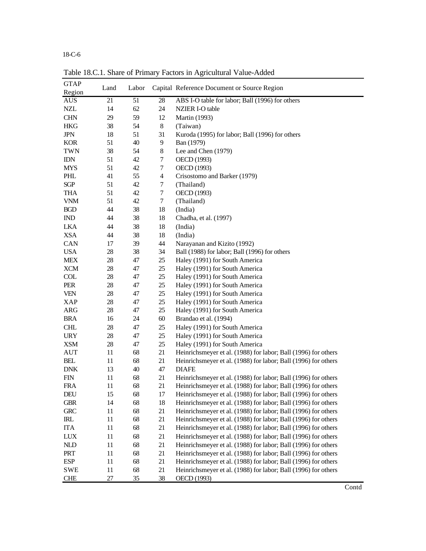18-C-6

| <b>GTAP</b><br>Region              | Land | Labor |                         | Capital Reference Document or Source Region                    |       |
|------------------------------------|------|-------|-------------------------|----------------------------------------------------------------|-------|
| <b>AUS</b>                         | 21   | 51    | 28                      | ABS I-O table for labor; Ball (1996) for others                |       |
| $\sf NZL$                          | 14   | 62    | 24                      | NZIER I-O table                                                |       |
| <b>CHN</b>                         | 29   | 59    | 12                      | <b>Martin</b> (1993)                                           |       |
| <b>HKG</b>                         | 38   | 54    | 8                       | (Taiwan)                                                       |       |
| $_{\rm JPN}$                       | 18   | 51    | 31                      | Kuroda (1995) for labor; Ball (1996) for others                |       |
| <b>KOR</b>                         | 51   | 40    | 9                       | Ban (1979)                                                     |       |
| <b>TWN</b>                         | 38   | 54    | 8                       | Lee and Chen (1979)                                            |       |
| $\mathbb{IDN}$                     | 51   | 42    | 7                       | OECD (1993)                                                    |       |
| <b>MYS</b>                         | 51   | 42    | 7                       | OECD (1993)                                                    |       |
| PHL                                | 41   | 55    | $\overline{\mathbf{4}}$ | Crisostomo and Barker (1979)                                   |       |
| $SGP$                              | 51   | 42    | 7                       | (Thailand)                                                     |       |
| <b>THA</b>                         | 51   | 42    | 7                       | OECD (1993)                                                    |       |
| <b>VNM</b>                         | 51   | 42    | $\tau$                  | (Thailand)                                                     |       |
| BGD                                | 44   | 38    | 18                      | (India)                                                        |       |
| $\mathbb{I}\mathbb{N}\mathbb{D}$   | 44   | 38    | 18                      | Chadha, et al. (1997)                                          |       |
| <b>LKA</b>                         | 44   | 38    | 18                      | (India)                                                        |       |
| <b>XSA</b>                         | 44   | 38    | 18                      | (India)                                                        |       |
| CAN                                | 17   | 39    | 44                      | Narayanan and Kizito (1992)                                    |       |
| <b>USA</b>                         | 28   | 38    | 34                      | Ball (1988) for labor; Ball (1996) for others                  |       |
| <b>MEX</b>                         | 28   | 47    | 25                      | Haley (1991) for South America                                 |       |
| <b>XCM</b>                         | 28   | 47    | 25                      | Haley (1991) for South America                                 |       |
| <b>COL</b>                         | 28   | 47    | 25                      | Haley (1991) for South America                                 |       |
| PER                                | 28   | 47    | 25                      | Haley (1991) for South America                                 |       |
| <b>VEN</b>                         | 28   | 47    | 25                      | Haley (1991) for South America                                 |       |
| <b>XAP</b>                         | 28   | 47    | 25                      | Haley (1991) for South America                                 |       |
| <b>ARG</b>                         | 28   | 47    | 25                      | Haley (1991) for South America                                 |       |
| <b>BRA</b>                         | 16   | 24    | 60                      | Brandao et al. (1994)                                          |       |
| <b>CHL</b>                         | 28   | 47    | 25                      | Haley (1991) for South America                                 |       |
| <b>URY</b>                         | 28   | 47    | 25                      | Haley (1991) for South America                                 |       |
| <b>XSM</b>                         | 28   | 47    | 25                      | Haley (1991) for South America                                 |       |
| <b>AUT</b>                         | 11   | 68    | 21                      | Heinrichsmeyer et al. (1988) for labor; Ball (1996) for others |       |
| BEL                                | 11   | 68    | 21                      | Heinrichsmeyer et al. (1988) for labor; Ball (1996) for others |       |
| ${\rm DNK}$                        | 13   | 40    | 47                      | <b>DIAFE</b>                                                   |       |
| <b>FIN</b>                         | 11   | 68    | 21                      | Heinrichsmeyer et al. (1988) for labor; Ball (1996) for others |       |
| <b>FRA</b>                         | 11   | 68    | 21                      | Heinrichsmeyer et al. (1988) for labor; Ball (1996) for others |       |
| DEU                                | 15   | 68    | 17                      | Heinrichsmeyer et al. (1988) for labor; Ball (1996) for others |       |
| <b>GBR</b>                         | 14   | 68    | 18                      | Heinrichsmeyer et al. (1988) for labor; Ball (1996) for others |       |
| ${\rm GRC}$                        | 11   | 68    | 21                      | Heinrichsmeyer et al. (1988) for labor; Ball (1996) for others |       |
| $\ensuremath{\mathsf{IRL}}\xspace$ | 11   | 68    | 21                      | Heinrichsmeyer et al. (1988) for labor; Ball (1996) for others |       |
| <b>ITA</b>                         | 11   | 68    | 21                      | Heinrichsmeyer et al. (1988) for labor; Ball (1996) for others |       |
| LUX                                | 11   | 68    | 21                      | Heinrichsmeyer et al. (1988) for labor; Ball (1996) for others |       |
| $\mbox{NLD}$                       | 11   | 68    | 21                      | Heinrichsmeyer et al. (1988) for labor; Ball (1996) for others |       |
| PRT                                | 11   | 68    | 21                      | Heinrichsmeyer et al. (1988) for labor; Ball (1996) for others |       |
| <b>ESP</b>                         | 11   | 68    | 21                      | Heinrichsmeyer et al. (1988) for labor; Ball (1996) for others |       |
| <b>SWE</b>                         | 11   | 68    | 21                      | Heinrichsmeyer et al. (1988) for labor; Ball (1996) for others |       |
| <b>CHE</b>                         | 27   | 35    | 38                      | OECD (1993)                                                    |       |
|                                    |      |       |                         |                                                                | Contd |

Table 18.C.1. Share of Primary Factors in Agricultural Value-Added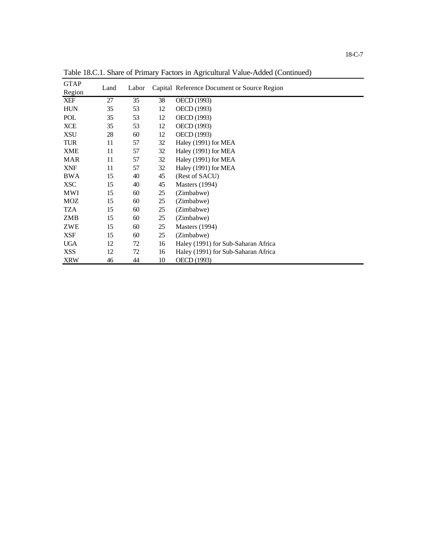| <b>GTAP</b> | Land | Labor |    | Capital Reference Document or Source Region |
|-------------|------|-------|----|---------------------------------------------|
| Region      |      |       |    |                                             |
| <b>XEF</b>  | 27   | 35    | 38 | OECD (1993)                                 |
| <b>HUN</b>  | 35   | 53    | 12 | OECD (1993)                                 |
| POL         | 35   | 53    | 12 | OECD (1993)                                 |
| <b>XCE</b>  | 35   | 53    | 12 | OECD (1993)                                 |
| <b>XSU</b>  | 28   | 60    | 12 | OECD (1993)                                 |
| TUR         | 11   | 57    | 32 | Haley (1991) for MEA                        |
| <b>XME</b>  | 11   | 57    | 32 | Haley (1991) for MEA                        |
| <b>MAR</b>  | 11   | 57    | 32 | Haley (1991) for MEA                        |
| <b>XNF</b>  | 11   | 57    | 32 | Haley (1991) for MEA                        |
| <b>BWA</b>  | 15   | 40    | 45 | (Rest of SACU)                              |
| <b>XSC</b>  | 15   | 40    | 45 | <b>Masters</b> (1994)                       |
| MWI         | 15   | 60    | 25 | (Zimbabwe)                                  |
| MOZ         | 15   | 60    | 25 | (Zimbabwe)                                  |
| TZA         | 15   | 60    | 25 | (Zimbabwe)                                  |
| ZMB         | 15   | 60    | 25 | (Zimbabwe)                                  |
| ZWE         | 15   | 60    | 25 | <b>Masters</b> (1994)                       |
| <b>XSF</b>  | 15   | 60    | 25 | (Zimbabwe)                                  |
| <b>UGA</b>  | 12   | 72    | 16 | Haley (1991) for Sub-Saharan Africa         |
| <b>XSS</b>  | 12   | 72    | 16 | Haley (1991) for Sub-Saharan Africa         |
| <b>XRW</b>  | 46   | 44    | 10 | OECD (1993)                                 |

Table 18.C.1. Share of Primary Factors in Agricultural Value-Added (Continued)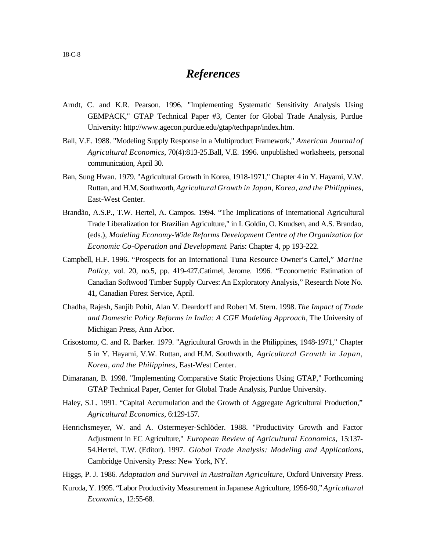#### *References*

- Arndt, C. and K.R. Pearson. 1996. "Implementing Systematic Sensitivity Analysis Using GEMPACK," GTAP Technical Paper #3, Center for Global Trade Analysis, Purdue University: http://www.agecon.purdue.edu/gtap/techpapr/index.htm.
- Ball, V.E. 1988. "Modeling Supply Response in a Multiproduct Framework," *American Journal of Agricultural Economics*, 70(4):813-25.Ball, V.E. 1996. unpublished worksheets, personal communication, April 30.
- Ban, Sung Hwan. 1979. "Agricultural Growth in Korea, 1918-1971," Chapter 4 in Y. Hayami, V.W. Ruttan, and H.M. Southworth, *Agricultural Growth in Japan, Korea, and the Philippines*, East-West Center.
- Brandão, A.S.P., T.W. Hertel, A. Campos. 1994. "The Implications of International Agricultural Trade Liberalization for Brazilian Agriculture," in I. Goldin, O. Knudsen, and A.S. Brandao, (eds.), *Modeling Economy-Wide Reforms Development Centre of the Organization for Economic Co-Operation and Development*. Paris: Chapter 4, pp 193-222.
- Campbell, H.F. 1996. "Prospects for an International Tuna Resource Owner's Cartel," *Marine Policy,* vol. 20, no.5, pp. 419-427.Catimel, Jerome. 1996. "Econometric Estimation of Canadian Softwood Timber Supply Curves: An Exploratory Analysis," Research Note No. 41, Canadian Forest Service, April.
- Chadha, Rajesh, Sanjib Pohit, Alan V. Deardorff and Robert M. Stern. 1998. *The Impact of Trade and Domestic Policy Reforms in India: A CGE Modeling Approach*, The University of Michigan Press, Ann Arbor.
- Crisostomo, C. and R. Barker. 1979. "Agricultural Growth in the Philippines, 1948-1971," Chapter 5 in Y. Hayami, V.W. Ruttan, and H.M. Southworth, *Agricultural Growth in Japan, Korea, and the Philippines*, East-West Center.
- Dimaranan, B. 1998. "Implementing Comparative Static Projections Using GTAP," Forthcoming GTAP Technical Paper, Center for Global Trade Analysis, Purdue University.
- Haley, S.L. 1991. "Capital Accumulation and the Growth of Aggregate Agricultural Production," *Agricultural Economics*, 6:129-157.
- Henrichsmeyer, W. and A. Ostermeyer-Schlöder. 1988. "Productivity Growth and Factor Adjustment in EC Agriculture," *European Review of Agricultural Economics,* 15:137- 54.Hertel, T.W. (Editor). 1997. *Global Trade Analysis: Modeling and Applications*, Cambridge University Press: New York, NY.
- Higgs, P. J. 1986. *Adaptation and Survival in Australian Agriculture*, Oxford University Press.
- Kuroda, Y. 1995. "Labor Productivity Measurement in Japanese Agriculture, 1956-90," *Agricultural Economics*, 12:55-68.